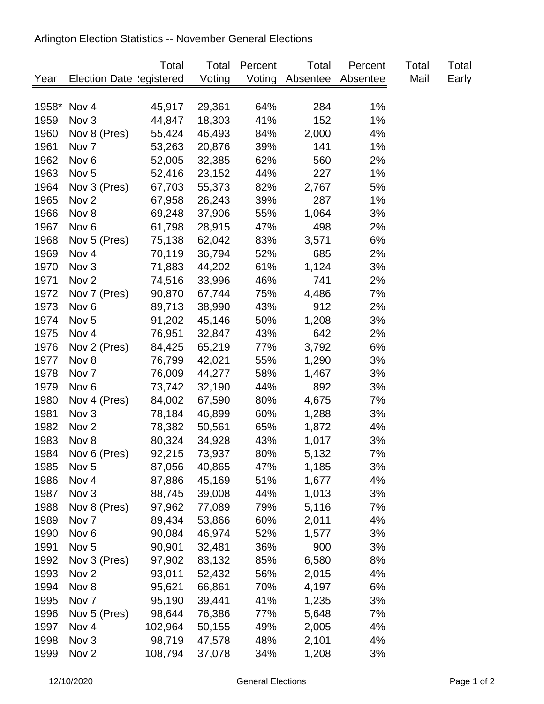## Arlington Election Statistics -- November General Elections

|      |                          | Total   | Total  | Percent | Total    | Percent  | Total | Total |
|------|--------------------------|---------|--------|---------|----------|----------|-------|-------|
| Year | Election Date legistered |         | Voting | Voting  | Absentee | Absentee | Mail  | Early |
|      |                          |         |        |         |          |          |       |       |
|      | 1958* Nov 4              | 45,917  | 29,361 | 64%     | 284      | $1\%$    |       |       |
| 1959 | Nov <sub>3</sub>         | 44,847  | 18,303 | 41%     | 152      | 1%       |       |       |
| 1960 | Nov 8 (Pres)             | 55,424  | 46,493 | 84%     | 2,000    | 4%       |       |       |
| 1961 | Nov <sub>7</sub>         | 53,263  | 20,876 | 39%     | 141      | $1\%$    |       |       |
| 1962 | Nov <sub>6</sub>         | 52,005  | 32,385 | 62%     | 560      | 2%       |       |       |
| 1963 | Nov <sub>5</sub>         | 52,416  | 23,152 | 44%     | 227      | $1\%$    |       |       |
| 1964 | Nov 3 (Pres)             | 67,703  | 55,373 | 82%     | 2,767    | 5%       |       |       |
| 1965 | Nov <sub>2</sub>         | 67,958  | 26,243 | 39%     | 287      | $1\%$    |       |       |
| 1966 | Nov 8                    | 69,248  | 37,906 | 55%     | 1,064    | 3%       |       |       |
| 1967 | Nov <sub>6</sub>         | 61,798  | 28,915 | 47%     | 498      | 2%       |       |       |
| 1968 | Nov 5 (Pres)             | 75,138  | 62,042 | 83%     | 3,571    | 6%       |       |       |
| 1969 | Nov 4                    | 70,119  | 36,794 | 52%     | 685      | 2%       |       |       |
| 1970 | Nov <sub>3</sub>         | 71,883  | 44,202 | 61%     | 1,124    | 3%       |       |       |
| 1971 | Nov <sub>2</sub>         | 74,516  | 33,996 | 46%     | 741      | 2%       |       |       |
| 1972 | Nov 7 (Pres)             | 90,870  | 67,744 | 75%     | 4,486    | 7%       |       |       |
| 1973 | Nov <sub>6</sub>         | 89,713  | 38,990 | 43%     | 912      | 2%       |       |       |
| 1974 | Nov <sub>5</sub>         | 91,202  | 45,146 | 50%     | 1,208    | 3%       |       |       |
| 1975 | Nov <sub>4</sub>         | 76,951  | 32,847 | 43%     | 642      | 2%       |       |       |
| 1976 | Nov 2 (Pres)             | 84,425  | 65,219 | 77%     | 3,792    | 6%       |       |       |
| 1977 | Nov 8                    | 76,799  | 42,021 | 55%     | 1,290    | 3%       |       |       |
| 1978 | Nov <sub>7</sub>         | 76,009  | 44,277 | 58%     | 1,467    | 3%       |       |       |
| 1979 | Nov <sub>6</sub>         | 73,742  | 32,190 | 44%     | 892      | 3%       |       |       |
| 1980 | Nov 4 (Pres)             | 84,002  | 67,590 | 80%     | 4,675    | 7%       |       |       |
| 1981 | Nov <sub>3</sub>         | 78,184  | 46,899 | 60%     | 1,288    | 3%       |       |       |
| 1982 | Nov <sub>2</sub>         | 78,382  | 50,561 | 65%     | 1,872    | 4%       |       |       |
| 1983 | Nov 8                    | 80,324  | 34,928 | 43%     | 1,017    | 3%       |       |       |
| 1984 | Nov 6 (Pres)             | 92,215  | 73,937 | 80%     | 5,132    | 7%       |       |       |
| 1985 | Nov <sub>5</sub>         | 87,056  | 40,865 | 47%     | 1,185    | 3%       |       |       |
| 1986 | Nov 4                    | 87,886  | 45,169 | 51%     | 1,677    | 4%       |       |       |
| 1987 | Nov <sub>3</sub>         | 88,745  | 39,008 | 44%     | 1,013    | 3%       |       |       |
| 1988 | Nov 8 (Pres)             | 97,962  | 77,089 | 79%     | 5,116    | 7%       |       |       |
| 1989 | Nov 7                    | 89,434  | 53,866 | 60%     | 2,011    | 4%       |       |       |
| 1990 | Nov <sub>6</sub>         | 90,084  | 46,974 | 52%     | 1,577    | 3%       |       |       |
| 1991 | Nov <sub>5</sub>         | 90,901  | 32,481 | 36%     | 900      | 3%       |       |       |
| 1992 | Nov 3 (Pres)             | 97,902  | 83,132 | 85%     | 6,580    | 8%       |       |       |
| 1993 | Nov <sub>2</sub>         | 93,011  | 52,432 | 56%     | 2,015    | 4%       |       |       |
| 1994 | Nov 8                    | 95,621  | 66,861 | 70%     | 4,197    | 6%       |       |       |
| 1995 | Nov 7                    | 95,190  | 39,441 | 41%     | 1,235    | 3%       |       |       |
| 1996 | Nov 5 (Pres)             | 98,644  | 76,386 | 77%     | 5,648    | 7%       |       |       |
| 1997 | Nov <sub>4</sub>         | 102,964 | 50,155 | 49%     | 2,005    | 4%       |       |       |
| 1998 | Nov 3                    | 98,719  | 47,578 | 48%     | 2,101    | 4%       |       |       |
| 1999 | Nov <sub>2</sub>         | 108,794 | 37,078 | 34%     | 1,208    | 3%       |       |       |